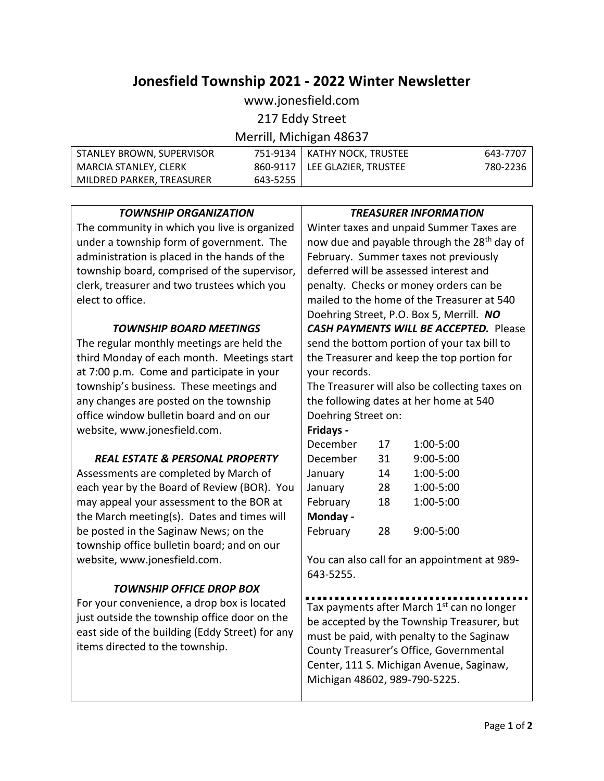# **Jonesfield Township 2021 - 2022 Winter Newsletter**

www.jonesfield.com

217 Eddy Street

Merrill, Michigan 48637

| STANLEY BROWN, SUPERVISOR   |          | 751-9134   KATHY NOCK, TRUSTEE  | 643-7707 |
|-----------------------------|----------|---------------------------------|----------|
| MARCIA STANLEY, CLERK       |          | 860-9117   LEE GLAZIER, TRUSTEE | 780-2236 |
| l MILDRED PARKER. TREASURER | 643-5255 |                                 |          |

| <b>TOWNSHIP ORGANIZATION</b>                    | <b>TREASURER INFORMATION</b>                            |    |                                               |
|-------------------------------------------------|---------------------------------------------------------|----|-----------------------------------------------|
| The community in which you live is organized    | Winter taxes and unpaid Summer Taxes are                |    |                                               |
| under a township form of government. The        | now due and payable through the 28 <sup>th</sup> day of |    |                                               |
| administration is placed in the hands of the    | February. Summer taxes not previously                   |    |                                               |
| township board, comprised of the supervisor,    | deferred will be assessed interest and                  |    |                                               |
| clerk, treasurer and two trustees which you     | penalty. Checks or money orders can be                  |    |                                               |
| elect to office.                                | mailed to the home of the Treasurer at 540              |    |                                               |
|                                                 |                                                         |    | Doehring Street, P.O. Box 5, Merrill. NO      |
| TOWNSHIP BOARD MEETINGS                         |                                                         |    | <b>CASH PAYMENTS WILL BE ACCEPTED.</b> Please |
| The regular monthly meetings are held the       | send the bottom portion of your tax bill to             |    |                                               |
| third Monday of each month. Meetings start      | the Treasurer and keep the top portion for              |    |                                               |
| at 7:00 p.m. Come and participate in your       | your records.                                           |    |                                               |
| township's business. These meetings and         | The Treasurer will also be collecting taxes on          |    |                                               |
| any changes are posted on the township          | the following dates at her home at 540                  |    |                                               |
| office window bulletin board and on our         | Doehring Street on:                                     |    |                                               |
| website, www.jonesfield.com.                    | Fridays -                                               |    |                                               |
|                                                 | December                                                | 17 | 1:00-5:00                                     |
| <b>REAL ESTATE &amp; PERSONAL PROPERTY</b>      | December                                                | 31 | 9:00-5:00                                     |
| Assessments are completed by March of           | January                                                 | 14 | 1:00-5:00                                     |
| each year by the Board of Review (BOR). You     | January                                                 | 28 | 1:00-5:00                                     |
| may appeal your assessment to the BOR at        | February                                                | 18 | 1:00-5:00                                     |
| the March meeting(s). Dates and times will      | Monday -                                                |    |                                               |
| be posted in the Saginaw News; on the           | February                                                | 28 | 9:00-5:00                                     |
| township office bulletin board; and on our      |                                                         |    |                                               |
| website, www.jonesfield.com.                    | You can also call for an appointment at 989-            |    |                                               |
|                                                 | 643-5255.                                               |    |                                               |
| <b>TOWNSHIP OFFICE DROP BOX</b>                 |                                                         |    |                                               |
| For your convenience, a drop box is located     | Tax payments after March 1st can no longer              |    |                                               |
| just outside the township office door on the    | be accepted by the Township Treasurer, but              |    |                                               |
| east side of the building (Eddy Street) for any | must be paid, with penalty to the Saginaw               |    |                                               |
| items directed to the township.                 | County Treasurer's Office, Governmental                 |    |                                               |
|                                                 |                                                         |    | Center, 111 S. Michigan Avenue, Saginaw,      |
|                                                 | Michigan 48602, 989-790-5225.                           |    |                                               |
|                                                 |                                                         |    |                                               |